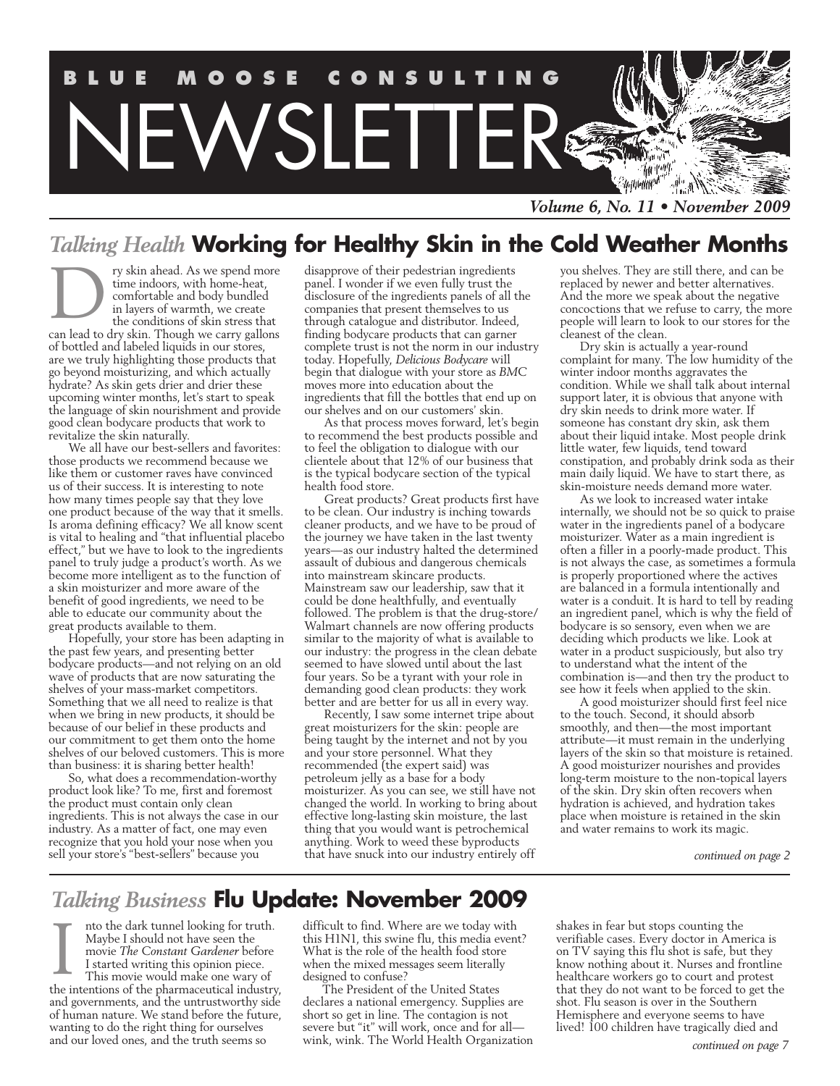

*Volume 6, No. 11 • November 2009*

### *Talking Health* **Working for Healthy Skin in the Cold Weather Months**

ry skin ahead. As we spend more time indoors, with home-heat, comfortable and body bundled in layers of warmth, we create the conditions of skin stress that can lead to dry skin. Though we carry gallons of bottled and labeled liquids in our stores, are we truly highlighting those products that go beyond moisturizing, and which actually hydrate? As skin gets drier and drier these upcoming winter months, let's start to speak the language of skin nourishment and provide good clean bodycare products that work to revitalize the skin naturally. D

We all have our best-sellers and favorites: those products we recommend because we like them or customer raves have convinced us of their success. It is interesting to note how many times people say that they love one product because of the way that it smells. Is aroma defining efficacy? We all know scent is vital to healing and "that influential placebo effect," but we have to look to the ingredients panel to truly judge a product's worth. As we become more intelligent as to the function of a skin moisturizer and more aware of the benefit of good ingredients, we need to be able to educate our community about the great products available to them.

Hopefully, your store has been adapting in the past few years, and presenting better bodycare products—and not relying on an old wave of products that are now saturating the shelves of your mass-market competitors. Something that we all need to realize is that when we bring in new products, it should be because of our belief in these products and our commitment to get them onto the home shelves of our beloved customers. This is more than business: it is sharing better health!

So, what does a recommendation-worthy product look like? To me, first and foremost the product must contain only clean ingredients. This is not always the case in our industry. As a matter of fact, one may even recognize that you hold your nose when you sell your store's "best-sellers" because you

disapprove of their pedestrian ingredients panel. I wonder if we even fully trust the disclosure of the ingredients panels of all the companies that present themselves to us through catalogue and distributor. Indeed, finding bodycare products that can garner complete trust is not the norm in our industry today. Hopefully, *Delicious Bodycare* will begin that dialogue with your store as *BMC* moves more into education about the ingredients that fill the bottles that end up on our shelves and on our customers' skin.

As that process moves forward, let's begin to recommend the best products possible and to feel the obligation to dialogue with our clientele about that 12% of our business that is the typical bodycare section of the typical health food store.

Great products? Great products first have to be clean. Our industry is inching towards cleaner products, and we have to be proud of the journey we have taken in the last twenty years—as our industry halted the determined assault of dubious and dangerous chemicals into mainstream skincare products. Mainstream saw our leadership, saw that it could be done healthfully, and eventually followed. The problem is that the drug-store/ Walmart channels are now offering products similar to the majority of what is available to our industry: the progress in the clean debate seemed to have slowed until about the last four years. So be a tyrant with your role in demanding good clean products: they work better and are better for us all in every way.

Recently, I saw some internet tripe about great moisturizers for the skin: people are being taught by the internet and not by you and your store personnel. What they recommended (the expert said) was petroleum jelly as a base for a body moisturizer. As you can see, we still have not changed the world. In working to bring about effective long-lasting skin moisture, the last thing that you would want is petrochemical anything. Work to weed these byproducts that have snuck into our industry entirely off

you shelves. They are still there, and can be replaced by newer and better alternatives. And the more we speak about the negative concoctions that we refuse to carry, the more people will learn to look to our stores for the cleanest of the clean.

Dry skin is actually a year-round complaint for many. The low humidity of the winter indoor months aggravates the condition. While we shall talk about internal support later, it is obvious that anyone with dry skin needs to drink more water. If someone has constant dry skin, ask them about their liquid intake. Most people drink little water, few liquids, tend toward constipation, and probably drink soda as their main daily liquid. We have to start there, as skin-moisture needs demand more water.

As we look to increased water intake internally, we should not be so quick to praise water in the ingredients panel of a bodycare moisturizer. Water as a main ingredient is often a filler in a poorly-made product. This is not always the case, as sometimes a formula is properly proportioned where the actives are balanced in a formula intentionally and water is a conduit. It is hard to tell by reading an ingredient panel, which is why the field of bodycare is so sensory, even when we are deciding which products we like. Look at water in a product suspiciously, but also try to understand what the intent of the combination is—and then try the product to see how it feels when applied to the skin.

A good moisturizer should first feel nice to the touch. Second, it should absorb smoothly, and then—the most important attribute—it must remain in the underlying layers of the skin so that moisture is retained. A good moisturizer nourishes and provides long-term moisture to the non-topical layers of the skin. Dry skin often recovers when hydration is achieved, and hydration takes place when moisture is retained in the skin and water remains to work its magic.

*continued on page 2*

### *Talking Business* **Flu Update: November 2009**

nto the dark tunnel looking for truth. Maybe I should not have seen the movie *The Constant Gardener* before I started writing this opinion piece. This movie would make one wary of the intentions of the pharmaceutical industry, and governments, and the untrustworthy side of human nature. We stand before the future, wanting to do the right thing for ourselves and our loved ones, and the truth seems so I

difficult to find. Where are we today with this H1N1, this swine flu, this media event? What is the role of the health food store when the mixed messages seem literally designed to confuse?

The President of the United States declares a national emergency. Supplies are short so get in line. The contagion is not severe but "it" will work, once and for all wink, wink. The World Health Organization shakes in fear but stops counting the verifiable cases. Every doctor in America is on TV saying this flu shot is safe, but they know nothing about it. Nurses and frontline healthcare workers go to court and protest that they do not want to be forced to get the shot. Flu season is over in the Southern Hemisphere and everyone seems to have lived! 100 children have tragically died and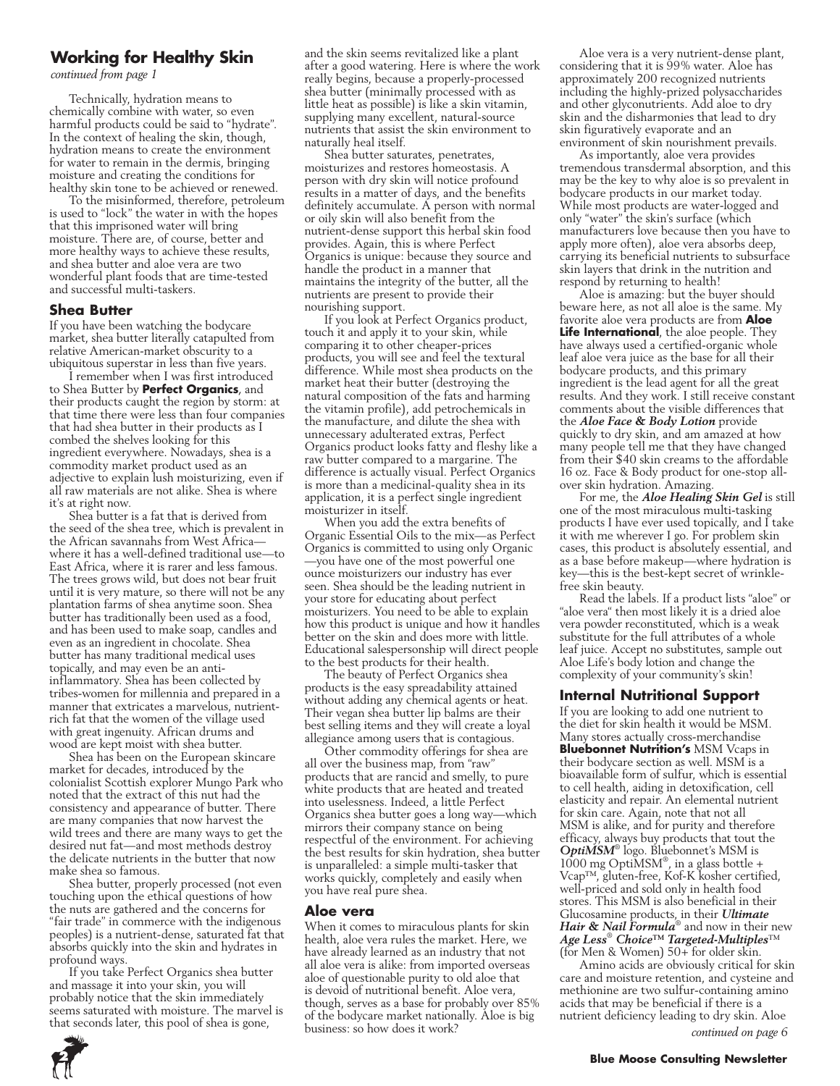### **Working for Healthy Skin**

*continued from page 1*

Technically, hydration means to chemically combine with water, so even harmful products could be said to "hydrate". In the context of healing the skin, though, hydration means to create the environment for water to remain in the dermis, bringing moisture and creating the conditions for healthy skin tone to be achieved or renewed.

To the misinformed, therefore, petroleum is used to "lock" the water in with the hopes that this imprisoned water will bring moisture. There are, of course, better and more healthy ways to achieve these results, and shea butter and aloe vera are two wonderful plant foods that are time-tested and successful multi-taskers.

### **Shea Butter**

If you have been watching the bodycare market, shea butter literally catapulted from relative American-market obscurity to a ubiquitous superstar in less than five years.

I remember when I was first introduced to Shea Butter by **Perfect Organics**, and their products caught the region by storm: at that time there were less than four companies that had shea butter in their products as I combed the shelves looking for this ingredient everywhere. Nowadays, shea is a commodity market product used as an adjective to explain lush moisturizing, even if all raw materials are not alike. Shea is where it's at right now.

Shea butter is a fat that is derived from the seed of the shea tree, which is prevalent in the African savannahs from West Africa where it has a well-defined traditional use—to East Africa, where it is rarer and less famous. The trees grows wild, but does not bear fruit until it is very mature, so there will not be any plantation farms of shea anytime soon. Shea butter has traditionally been used as a food, and has been used to make soap, candles and even as an ingredient in chocolate. Shea butter has many traditional medical uses topically, and may even be an antiinflammatory. Shea has been collected by tribes-women for millennia and prepared in a manner that extricates a marvelous, nutrientrich fat that the women of the village used with great ingenuity. African drums and wood are kept moist with shea butter.

Shea has been on the European skincare market for decades, introduced by the colonialist Scottish explorer Mungo Park who noted that the extract of this nut had the consistency and appearance of butter. There are many companies that now harvest the wild trees and there are many ways to get the desired nut fat—and most methods destroy the delicate nutrients in the butter that now make shea so famous.

Shea butter, properly processed (not even touching upon the ethical questions of how the nuts are gathered and the concerns for "fair trade" in commerce with the indigenous peoples) is a nutrient-dense, saturated fat that absorbs quickly into the skin and hydrates in profound ways.

If you take Perfect Organics shea butter and massage it into your skin, you will probably notice that the skin immediately seems saturated with moisture. The marvel is that seconds later, this pool of shea is gone,

and the skin seems revitalized like a plant after a good watering. Here is where the work really begins, because a properly-processed shea butter (minimally processed with as little heat as possible) is like a skin vitamin, supplying many excellent, natural-source nutrients that assist the skin environment to naturally heal itself.

Shea butter saturates, penetrates, moisturizes and restores homeostasis. A person with dry skin will notice profound results in a matter of days, and the benefits definitely accumulate. A person with normal or oily skin will also benefit from the nutrient-dense support this herbal skin food provides. Again, this is where Perfect Organics is unique: because they source and handle the product in a manner that maintains the integrity of the butter, all the nutrients are present to provide their nourishing support.

If you look at Perfect Organics product, touch it and apply it to your skin, while comparing it to other cheaper-prices products, you will see and feel the textural difference. While most shea products on the market heat their butter (destroying the natural composition of the fats and harming the vitamin profile), add petrochemicals in the manufacture, and dilute the shea with unnecessary adulterated extras, Perfect Organics product looks fatty and fleshy like a raw butter compared to a margarine. The difference is actually visual. Perfect Organics is more than a medicinal-quality shea in its application, it is a perfect single ingredient moisturizer in itself.

When you add the extra benefits of Organic Essential Oils to the mix—as Perfect Organics is committed to using only Organic —you have one of the most powerful one ounce moisturizers our industry has ever seen. Shea should be the leading nutrient in your store for educating about perfect moisturizers. You need to be able to explain how this product is unique and how it handles better on the skin and does more with little. Educational salespersonship will direct people to the best products for their health.

The beauty of Perfect Organics shea products is the easy spreadability attained without adding any chemical agents or heat. Their vegan shea butter lip balms are their best selling items and they will create a loyal allegiance among users that is contagious.

Other commodity offerings for shea are all over the business map, from "raw" products that are rancid and smelly, to pure white products that are heated and treated into uselessness. Indeed, a little Perfect Organics shea butter goes a long way—which mirrors their company stance on being respectful of the environment. For achieving the best results for skin hydration, shea butter is unparalleled: a simple multi-tasker that works quickly, completely and easily when you have real pure shea.

#### **Aloe vera**

When it comes to miraculous plants for skin health, aloe vera rules the market. Here, we have already learned as an industry that not all aloe vera is alike: from imported overseas aloe of questionable purity to old aloe that is devoid of nutritional benefit. Aloe vera, though, serves as a base for probably over 85% of the bodycare market nationally. Aloe is big business: so how does it work?

Aloe vera is a very nutrient-dense plant, considering that it is 99% water. Aloe has approximately 200 recognized nutrients including the highly-prized polysaccharides and other glyconutrients. Add aloe to dry skin and the disharmonies that lead to dry skin figuratively evaporate and an environment of skin nourishment prevails.

As importantly, aloe vera provides tremendous transdermal absorption, and this may be the key to why aloe is so prevalent in bodycare products in our market today. While most products are water-logged and only "water" the skin's surface (which manufacturers love because then you have to apply more often), aloe vera absorbs deep, carrying its beneficial nutrients to subsurface skin layers that drink in the nutrition and respond by returning to health!

Aloe is amazing: but the buyer should beware here, as not all aloe is the same. My favorite aloe vera products are from **Aloe Life International**, the aloe people. They have always used a certified-organic whole leaf aloe vera juice as the base for all their bodycare products, and this primary ingredient is the lead agent for all the great results. And they work. I still receive constant comments about the visible differences that the *Aloe Face & Body Lotion* provide quickly to dry skin, and am amazed at how many people tell me that they have changed from their \$40 skin creams to the affordable 16 oz. Face & Body product for one-stop allover skin hydration. Amazing.

For me, the *Aloe Healing Skin Gel* is still one of the most miraculous multi-tasking products I have ever used topically, and  $\overline{I}$  take it with me wherever I go. For problem skin cases, this product is absolutely essential, and as a base before makeup—where hydration is key—this is the best-kept secret of wrinklefree skin beauty.

Read the labels. If a product lists "aloe" or "aloe vera" then most likely it is a dried aloe vera powder reconstituted, which is a weak substitute for the full attributes of a whole leaf juice. Accept no substitutes, sample out Aloe Life's body lotion and change the complexity of your community's skin!

### **Internal Nutritional Support**

If you are looking to add one nutrient to the diet for skin health it would be MSM. Many stores actually cross-merchandise **Bluebonnet Nutrition's** MSM Vcaps in their bodycare section as well. MSM is a bioavailable form of sulfur, which is essential to cell health, aiding in detoxification, cell elasticity and repair. An elemental nutrient for skin care. Again, note that not all MSM is alike, and for purity and therefore efficacy, always buy products that tout the *OptiMSM*® logo. Bluebonnet's MSM is 1000 mg OptiMSM® , in a glass bottle + Vcap™, gluten-free, Kof-K kosher certified, well-priced and sold only in health food stores. This MSM is also beneficial in their Glucosamine products, in their *Ultimate Hair & Nail Formula*® and now in their new *Age Less*®  *Choice™ Targeted-Multiples*™ (for Men & Women)  $50 +$  for older skin.

Amino acids are obviously critical for skin care and moisture retention, and cysteine and methionine are two sulfur-containing amino acids that may be beneficial if there is a nutrient deficiency leading to dry skin. Aloe



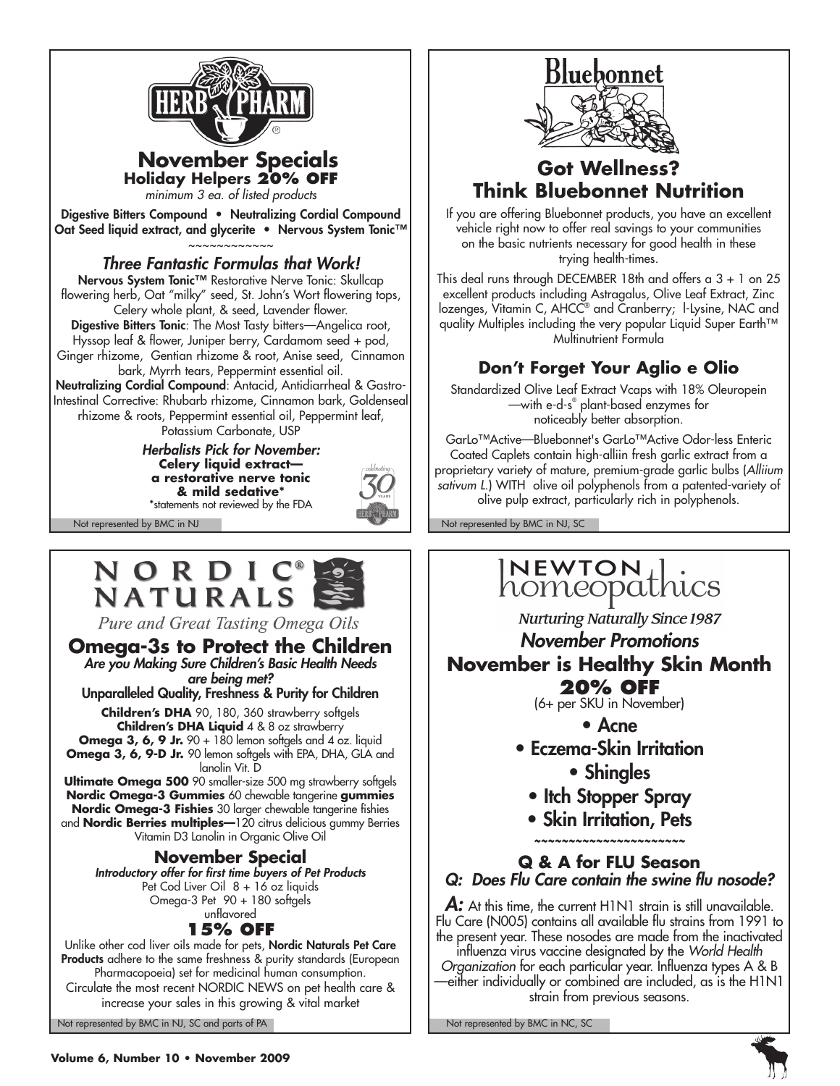

### **November Specials Holiday Helpers 20% off**

*minimum 3 ea. of listed products*

Digestive Bitters Compound • Neutralizing Cordial Compound Oat Seed liquid extract, and glycerite • Nervous System Tonic™ ~~~~~~~~~~~~

### *Three Fantastic Formulas that Work!*

Nervous System Tonic™ Restorative Nerve Tonic: Skullcap flowering herb, Oat "milky" seed, St. John's Wort flowering tops, Celery whole plant, & seed, Lavender flower.

Digestive Bitters Tonic: The Most Tasty bitters—Angelica root, Hyssop leaf & flower, Juniper berry, Cardamom seed + pod, Ginger rhizome, Gentian rhizome & root, Anise seed, Cinnamon

bark, Myrrh tears, Peppermint essential oil.

Neutralizing Cordial Compound: Antacid, Antidiarrheal & Gastro-Intestinal Corrective: Rhubarb rhizome, Cinnamon bark, Goldenseal rhizome & roots, Peppermint essential oil, Peppermint leaf, Potassium Carbonate, USP

> *Herbalists Pick for November:* **Celery liquid extract a restorative nerve tonic & mild sedative\*** \*statements not reviewed by the FDA



## NORDIC® NATURALS

Pure and Great Tasting Omega Oils

**Omega-3s to Protect the Children** *Are you Making Sure Children's Basic Health Needs are being met?* 

Unparalleled Quality, Freshness & Purity for Children

**Children's DHA** 90, 180, 360 strawberry softgels **Children's DHA Liquid** 4 & 8 oz strawberry **Omega 3, 6, 9 Jr.** 90 + 180 lemon softgels and 4 oz. liquid **Omega 3, 6, 9-D Jr.** 90 lemon softgels with EPA, DHA, GLA and lanolin Vit. D

**Ultimate Omega 500** 90 smaller-size 500 mg strawberry softgels **Nordic Omega-3 Gummies** 60 chewable tangerine **gummies Nordic Omega-3 Fishies** 30 larger chewable tangerine fishies and **Nordic Berries multiples—**120 citrus delicious gummy Berries Vitamin D3 Lanolin in Organic Olive Oil

### **November Special**

*Introductory offer for first time buyers of Pet Products* Pet Cod Liver Oil 8 + 16 oz liquids Omega-3 Pet 90 + 180 softgels unflavored

### **15% off**

Unlike other cod liver oils made for pets, Nordic Naturals Pet Care Products adhere to the same freshness & purity standards (European Pharmacopoeia) set for medicinal human consumption. Circulate the most recent NORDIC NEWS on pet health care & increase your sales in this growing & vital market

Not represented by BMC in NJ, SC and parts of PA Note that the Not represented by BMC in NC, SC Not represented by BMC in NC, SC Not represented by BMC in NC, SC Note that the SC Not represented by BMC in NC, SC Not repres



### **Got Wellness? Think Bluebonnet Nutrition**

If you are offering Bluebonnet products, you have an excellent vehicle right now to offer real savings to your communities on the basic nutrients necessary for good health in these trying health-times.

This deal runs through DECEMBER 18th and offers a 3 + 1 on 25 excellent products including Astragalus, Olive Leaf Extract, Zinc lozenges, Vitamin C, AHCC<sup>®</sup> and Cranberry; l-Lysine, NAC and quality Multiples including the very popular Liquid Super Earth™ Multinutrient Formula

### **Don't Forget Your Aglio e Olio**

Standardized Olive Leaf Extract Vcaps with 18% Oleuropein —with e-d-s® plant-based enzymes for noticeably better absorption.

GarLo™Active—Bluebonnet's GarLo™Active Odor-less Enteric Coated Caplets contain high-alliin fresh garlic extract from a proprietary variety of mature, premium-grade garlic bulbs (*Alliium*  sativum L.) WITH olive oil polyphenols from a patented-variety of olive pulp extract, particularly rich in polyphenols.

Not represented by BMC in NJ Not represented by BMC in NJ, SC

# INEWTON Lics

**Nurturing Naturally Since 1987** 

### *November Promotions* **November is Healthy Skin Month 20% OFF**

(6+ per SKU in November)

- Acne
- Eczema-Skin Irritation • Shingles
	- Itch Stopper Spray
	- Skin Irritation, Pets

*~~~~~~~~~~~~~~~~~~~~~~*

### **Q & A for FLU Season** *Q: Does Flu Care contain the swine flu nosode?*

A: At this time, the current H1N1 strain is still unavailable. Flu Care (N005) contains all available flu strains from 1991 to the present year. These nosodes are made from the inactivated

influenza virus vaccine designated by the *World Health Organization* for each particular year. Influenza types A & B —either individually or combined are included, as is the H1N1 strain from previous seasons.

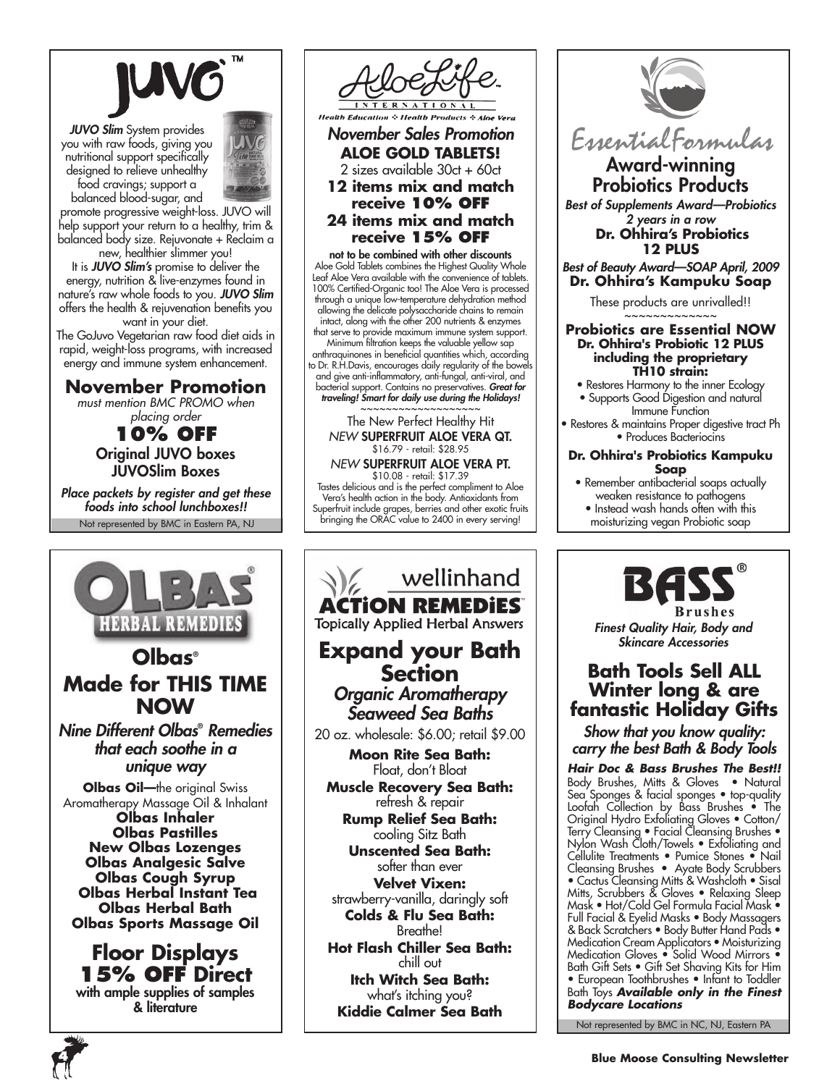

*JUVO Slim* System provides you with raw foods, giving you nutritional support specifically designed to relieve unhealthy food cravings; support a balanced blood-sugar, and



promote progressive weight-loss. JUVO will help support your return to a healthy, trim & balanced body size. Rejuvonate + Reclaim a new, healthier slimmer you!

It is *JUVO Slim's* promise to deliver the energy, nutrition & live-enzymes found in nature's raw whole foods to you. *JUVO Slim*  offers the health & rejuvenation benefits you want in your diet.

The GoJuvo Vegetarian raw food diet aids in rapid, weight-loss programs, with increased energy and immune system enhancement.

### **November Promotion**

*must mention BMC PROMO when placing order*

**10% off** Original JUVO boxes JUVOSlim Boxes

Not represented by BMC in Eastern PA, NJ *Place packets by register and get these foods into school lunchboxes!!*





*November Sales Promotion* **ALOE GOLD TABLETS!**  2 sizes available 30ct + 60ct **12 items mix and match receive 10% off 24 items mix and match receive 15% off**

not to be combined with other discounts Aloe Gold Tablets combines the Highest Quality Whole Leaf Aloe Vera available with the convenience of tablets. 100% Certified-Organic too! The Aloe Vera is processed through a unique low-temperature dehydration method allowing the delicate polysaccharide chains to remain intact, along with the other 200 nutrients & enzymes that serve to provide maximum immune system support. Minimum filtration keeps the valuable yellow sap Minimum filtration reeps in examence years. Let-<br>anthraquinones in beneficial quantities which, according to Dr. R.H.Davis, encourages daily regularity of the bowe and give anti-inflammatory, anti-fungal, anti-viral, and bacterial support. Contains no preservatives. *Great for traveling! Smart for daily use during the Holidays!* ~~~~~~~~~~~~~~~

#### The New Perfect Healthy Hit *NEW* SUPERFRUIT ALOE VERA QT. \$16.79 - retail: \$28.95

*NEW* SUPERFRUIT ALOE VERA PT. \$10.08 - retail: \$17.39 Tastes delicious and is the perfect compliment to Aloe Vera's health action in the body. Antioxidants from Superfruit include grapes, berries and other exotic fruits bringing the ORAC value to 2400 in every serving!

wellinhand **ACTION REMEDIES Topically Applied Herbal Answers Expand your Bath Section** *Organic Aromatherapy Seaweed Sea Baths* 20 oz. wholesale: \$6.00; retail \$9.00 **Moon Rite Sea Bath:** Float, don't Bloat **Muscle Recovery Sea Bath:** refresh & repair **Rump Relief Sea Bath:** cooling Sitz Bath **Unscented Sea Bath:** softer than ever **Velvet Vixen:** strawberry-vanilla, daringly soft **Colds & Flu Sea Bath:** Breathe! **Hot Flash Chiller Sea Bath:** chill out

**Itch Witch Sea Bath:** what's itching you? **Kiddie Calmer Sea Bath**



Award-winning Probiotics Products

*Best of Supplements Award—Probiotics 2 years in a row* **Dr. Ohhira's Probiotics**

### **12 PLUS** *Best of Beauty Award—SOAP April, 2009* **Dr. Ohhira's Kampuku Soap**

These products are unrivalled!!

#### \_<br>~~~~~~~~~~~~~ **Probiotics are Essential NOW Dr. Ohhira's Probiotic 12 PLUS including the proprietary TH10 strain:**

- Restores Harmony to the inner Ecology • Supports Good Digestion and natural
- Immune Function • Restores & maintains Proper digestive tract Ph

• Produces Bacteriocins

#### **Dr. Ohhira's Probiotics Kampuku Soap**

- Remember antibacterial soaps actually weaken resistance to pathogens • Instead wash hands often with this
- moisturizing vegan Probiotic soap



*Finest Quality Hair, Body and Skincare Accessories*

### **Bath Tools Sell ALL Winter long & are fantastic Holiday Gifts**

*Show that you know quality: carry the best Bath & Body Tools*

*Hair Doc & Bass Brushes The Best!!* Body Brushes, Mitts & Gloves • Natural Sea Sponges & facial sponges • top-quality Loofah Collection by Bass Brushes • The Original Hydro Exfoliating Gloves • Cotton/ Terry Cleansing • Facial Cleansing Brushes • Nylon Wash Cloth/Towels • Exfoliating and Cellulite Treatments • Pumice Stones • Nail Cleansing Brushes • Ayate Body Scrubbers • Cactus Cleansing Mitts & Washcloth • Sisal Mitts, Scrubbers & Gloves • Relaxing Sleep Mask • Hot/Cold Gel Formula Facial Mask • Full Facial & Eyelid Masks • Body Massagers & Back Scratchers • Body Butter Hand Pads • Medication Cream Applicators • Moisturizing Medication Gloves • Solid Wood Mirrors • Bath Gift Sets • Gift Set Shaving Kits for Him • European Toothbrushes • Infant to Toddler Bath Toys *Available only in the Finest Bodycare Locations*

Not represented by BMC in NC, NJ, Eastern PA

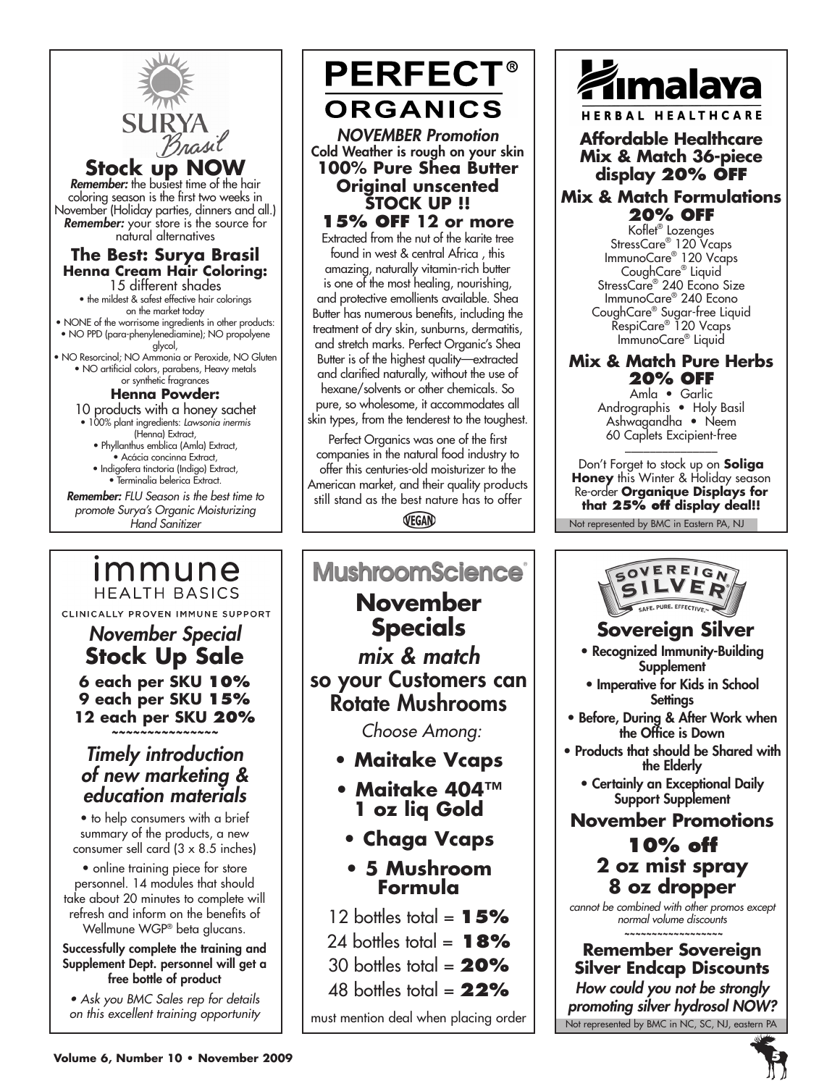

*November Special* **Stock Up Sale 6 each per SKU 10% 9 each per SKU 15% 12 each per SKU 20%** *~~~~~~~~~~~~~~~ Timely introduction of new marketing & education materials* • to help consumers with a brief summary of the products, a new consumer sell card (3 x 8.5 inches) • online training piece for store personnel. 14 modules that should take about 20 minutes to complete will refresh and inform on the benefits of Wellmune WGP® beta glucans. Successfully complete the training and Supplement Dept. personnel will get a free bottle of product *• Ask you BMC Sales rep for details on this excellent training opportunity*

CLINICALLY PROVEN IMMUNE SUPPORT

# **PERFECT® ORGANICS**

*NOVEMBER Promotion* Cold Weather is rough on your skin **100% Pure Shea Butter Original unscented STOCK UP !! 15% off 12 or more** 

Extracted from the nut of the karite tree found in west & central Africa , this amazing, naturally vitamin-rich butter is one of the most healing, nourishing, and protective emollients available. Shea Butter has numerous benefits, including the treatment of dry skin, sunburns, dermatitis, and stretch marks. Perfect Organic's Shea Butter is of the highest quality—extracted and clarified naturally, without the use of hexane/solvents or other chemicals. So pure, so wholesome, it accommodates all skin types, from the tenderest to the toughest.

Perfect Organics was one of the first companies in the natural food industry to offer this centuries-old moisturizer to the American market, and their quality products still stand as the best nature has to offer

VEGAN

### **MushroomScience® November Specials** *mix & match*  so your Customers can Rotate Mushrooms  *Choose Among:* **• Maitake Vcaps • Maitake 404™ 1 oz liq Gold • Chaga Vcaps • 5 Mushroom**

**Formula**

12 bottles total =  $15%$ 

24 bottles total = **18%**

- 30 bottles total = **20%**
- 48 bottles total = **22%**

must mention deal when placing order



**Affordable Healthcare Mix & Match 36-piece display 20% off**

### **Mix & Match Formulations 20% off**

Koflet® Lozenges StressCare® 120 Vcaps ImmunoCare® 120 Vcaps CoughCare® Liquid StressCare® 240 Econo Size ImmunoCare® 240 Econo CoughCare® Sugar-free Liquid RespiCare® 120 Vcaps ImmunoCare® Liquid

### **Mix & Match Pure Herbs 20% off**

Amla • Garlic Andrographis • Holy Basil Ashwagandha • Neem 60 Caplets Excipient-free \_\_\_\_\_\_\_\_\_\_\_\_\_\_\_

Don't Forget to stock up on **Soliga Honey** this Winter & Holiday season Re-order **Organique Displays for that 25% off display deal!!**

Not represented by BMC in Eastern PA, NJ



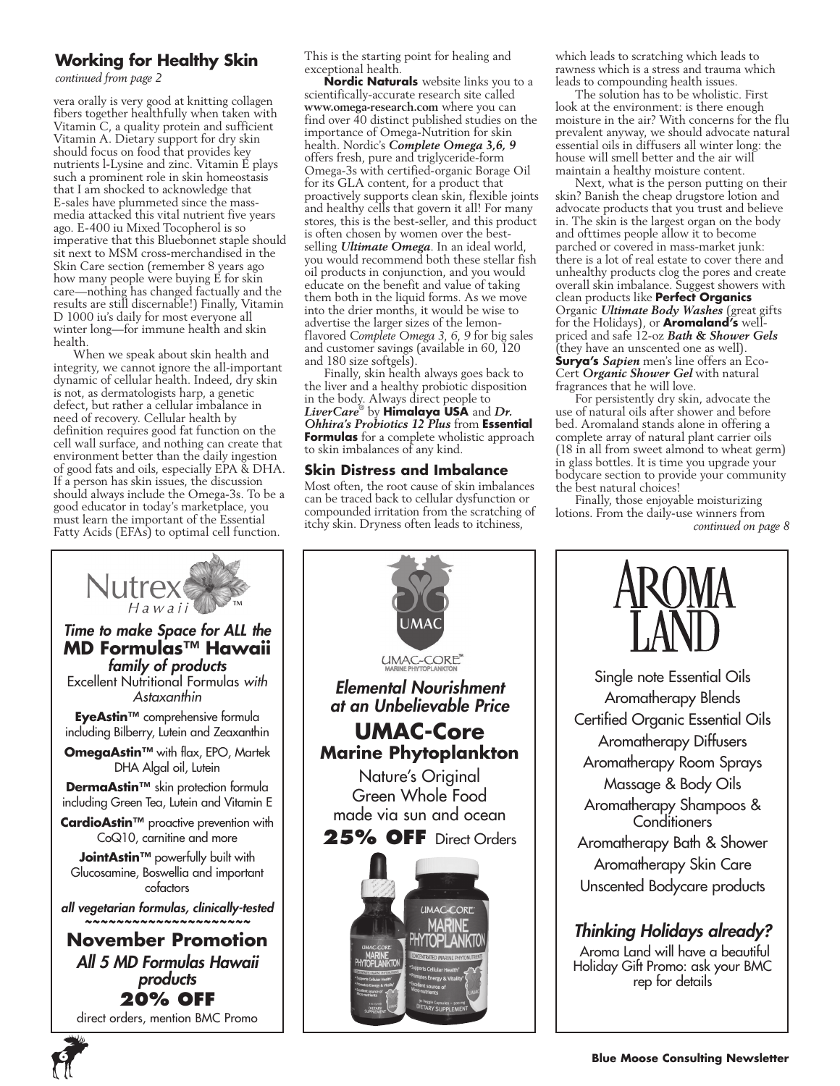### **Working for Healthy Skin**

*continued from page 2*

vera orally is very good at knitting collagen fibers together healthfully when taken with Vitamin C, a quality protein and sufficient Vitamin A. Dietary support for dry skin should focus on food that provides key nutrients l-Lysine and zinc. Vitamin E plays such a prominent role in skin homeostasis that I am shocked to acknowledge that E-sales have plummeted since the massmedia attacked this vital nutrient five years ago. E-400 iu Mixed Tocopherol is so imperative that this Bluebonnet staple should sit next to MSM cross-merchandised in the Skin Care section (remember 8 years ago how many people were buying E for skin care—nothing has changed factually and the results are still discernable!) Finally, Vitamin D 1000 iu's daily for most everyone all winter long—for immune health and skin health.

When we speak about skin health and integrity, we cannot ignore the all-important dynamic of cellular health. Indeed, dry skin is not, as dermatologists harp, a genetic defect, but rather a cellular imbalance in need of recovery. Cellular health by definition requires good fat function on the cell wall surface, and nothing can create that environment better than the daily ingestion of good fats and oils, especially EPA & DHA. If a person has skin issues, the discussion should always include the Omega-3s. To be a good educator in today's marketplace, you must learn the important of the Essential Fatty Acids (EFAs) to optimal cell function.

This is the starting point for healing and exceptional health.

**Nordic Naturals** website links you to a scientifically-accurate research site called **www.omega-research.com** where you can find over  $40$  distinct published studies on the importance of Omega-Nutrition for skin health. Nordic's *Complete Omega 3,6, 9*  offers fresh, pure and triglyceride-form Omega-3s with certified-organic Borage Oil for its GLA content, for a product that proactively supports clean skin, flexible joints and healthy cells that govern it all! For many stores, this is the best-seller, and this product is often chosen by women over the bestselling *Ultimate Omega*. In an ideal world, you would recommend both these stellar fish oil products in conjunction, and you would educate on the benefit and value of taking them both in the liquid forms. As we move into the drier months, it would be wise to advertise the larger sizes of the lemonflavored *Complete Omega 3, 6, 9* for big sales and customer savings (available in 60, 120 and 180 size softgels).

Finally, skin health always goes back to the liver and a healthy probiotic disposition in the body. Always direct people to *LiverCare*® by **Himalaya USA** and *Dr. Ohhira's Probiotics 12 Plus* from **Essential Formulas** for a complete wholistic approach to skin imbalances of any kind.

### **Skin Distress and Imbalance**

Most often, the root cause of skin imbalances can be traced back to cellular dysfunction or compounded irritation from the scratching of itchy skin. Dryness often leads to itchiness,





which leads to scratching which leads to rawness which is a stress and trauma which leads to compounding health issues.

The solution has to be wholistic. First look at the environment: is there enough moisture in the air? With concerns for the flu prevalent anyway, we should advocate natural essential oils in diffusers all winter long: the house will smell better and the air will maintain a healthy moisture content.

Next, what is the person putting on their skin? Banish the cheap drugstore lotion and advocate products that you trust and believe in. The skin is the largest organ on the body and ofttimes people allow it to become parched or covered in mass-market junk: there is a lot of real estate to cover there and unhealthy products clog the pores and create overall skin imbalance. Suggest showers with clean products like **Perfect Organics**  Organic *Ultimate Body Washes* (great gifts for the Holidays), or **Aromaland's** wellpriced and safe 12-oz *Bath & Shower Gels* (they have an unscented one as well). **Surya's** *Sapien* men's line offers an Eco-Cert *Organic Shower Gel* with natural fragrances that he will love.

For persistently dry skin, advocate the use of natural oils after shower and before bed. Aromaland stands alone in offering a complete array of natural plant carrier oils (18 in all from sweet almond to wheat germ) in glass bottles. It is time you upgrade your bodycare section to provide your community the best natural choices!

Finally, those enjoyable moisturizing lotions. From the daily-use winners from *continued on page 8*



Single note Essential Oils Aromatherapy Blends Certified Organic Essential Oils Aromatherapy Diffusers Aromatherapy Room Sprays Massage & Body Oils Aromatherapy Shampoos & **Conditioners** Aromatherapy Bath & Shower Aromatherapy Skin Care Unscented Bodycare products

### *Thinking Holidays already?*

 Aroma Land will have a beautiful Holiday Gift Promo: ask your BMC rep for details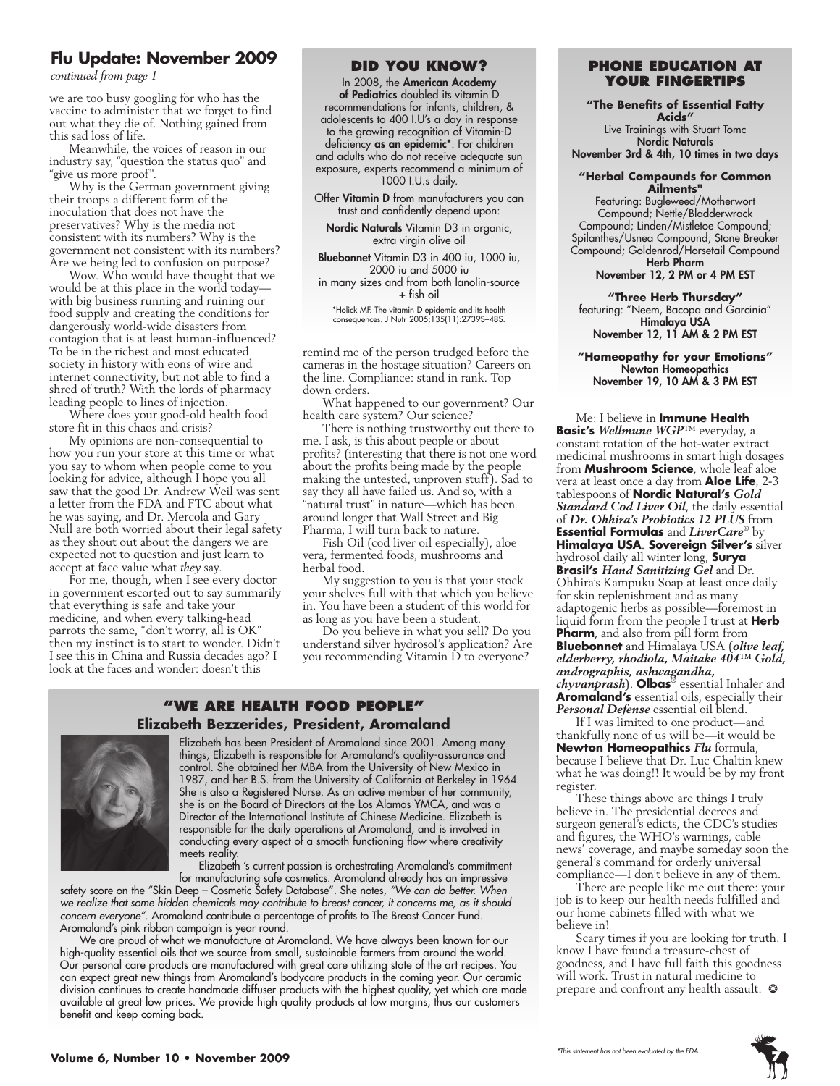### **Flu Update: November 2009**

we are too busy googling for who has the vaccine to administer that we forget to find out what they die of. Nothing gained from this sad loss of life.

Meanwhile, the voices of reason in our industry say, "question the status quo" and "give us more proof".

Why is the German government giving their troops a different form of the inoculation that does not have the preservatives? Why is the media not consistent with its numbers? Why is the government not consistent with its numbers? Are we being led to confusion on purpose?

Wow. Who would have thought that we would be at this place in the world today with big business running and ruining our food supply and creating the conditions for dangerously world-wide disasters from contagion that is at least human-influenced? To be in the richest and most educated society in history with eons of wire and internet connectivity, but not able to find a shred of truth? With the lords of pharmacy leading people to lines of injection.

Where does your good-old health food store fit in this chaos and crisis?

My opinions are non-consequential to how you run your store at this time or what you say to whom when people come to you looking for advice, although I hope you all saw that the good Dr. Andrew Weil was sent a letter from the FDA and FTC about what he was saying, and Dr. Mercola and Gary Null are both worried about their legal safety as they shout out about the dangers we are expected not to question and just learn to accept at face value what *they* say.

For me, though, when I see every doctor in government escorted out to say summarily that everything is safe and take your medicine, and when every talking-head parrots the same, "don't worry, all is OK" then my instinct is to start to wonder. Didn't I see this in China and Russia decades ago? I look at the faces and wonder: doesn't this

#### **Did you Know?**

In 2008, the American Academy of Pediatrics doubled its vitamin D recommendations for infants, children, & adolescents to 400 I.U's a day in response to the growing recognition of Vitamin-D deficiency as an epidemic\*. For children and adults who do not receive adequate sun exposure, experts recommend a minimum of 1000 I.U.s daily.

Offer Vitamin D from manufacturers you can trust and confidently depend upon:

Nordic Naturals Vitamin D3 in organic, extra virgin olive oil

Bluebonnet Vitamin D3 in 400 iu, 1000 iu, 2000 iu and 5000 iu in many sizes and from both lanolin-source + fish oil

\*Holick MF. The vitamin D epidemic and its health consequences. J Nutr 2005;135(11):2739S–48S.

remind me of the person trudged before the cameras in the hostage situation? Careers on the line. Compliance: stand in rank. Top down orders.

What happened to our government? Our health care system? Our science?

There is nothing trustworthy out there to me. I ask, is this about people or about profits? (interesting that there is not one word about the profits being made by the people making the untested, unproven stuff). Sad to say they all have failed us. And so, with a "natural trust" in nature—which has been around longer that Wall Street and Big Pharma, I will turn back to nature.

Fish Oil (cod liver oil especially), aloe vera, fermented foods, mushrooms and herbal food.

My suggestion to you is that your stock your shelves full with that which you believe in. You have been a student of this world for as long as you have been a student.

Do you believe in what you sell? Do you understand silver hydrosol's application? Are you recommending Vitamin D to everyone?

### **"We Are health food people" Elizabeth Bezzerides, President, Aromaland**



Elizabeth has been President of Aromaland since 2001. Among many things, Elizabeth is responsible for Aromaland's quality-assurance and control. She obtained her MBA from the University of New Mexico in 1987, and her B.S. from the University of California at Berkeley in 1964. She is also a Registered Nurse. As an active member of her community, she is on the Board of Directors at the Los Alamos YMCA, and was a Director of the International Institute of Chinese Medicine. Elizabeth is responsible for the daily operations at Aromaland, and is involved in conducting every aspect of a smooth functioning flow where creativity meets reality.

Elizabeth 's current passion is orchestrating Aromaland's commitment for manufacturing safe cosmetics. Aromaland already has an impressive

safety score on the "Skin Deep – Cosmetic Safety Database". She notes, *"We can do better. When we realize that some hidden chemicals may contribute to breast cancer, it concerns me, as it should concern everyone"*. Aromaland contribute a percentage of profits to The Breast Cancer Fund. Aromaland's pink ribbon campaign is year round.

We are proud of what we manufacture at Aromaland. We have always been known for our high-quality essential oils that we source from small, sustainable farmers from around the world. Our personal care products are manufactured with great care utilizing state of the art recipes. You can expect great new things from Aromaland's bodycare products in the coming year. Our ceramic division continues to create handmade diffuser products with the highest quality, yet which are made available at great low prices. We provide high quality products at low margins, thus our customers benefit and keep coming back.

### **FIO OPQQUE: NOVEMBER 2009 <b>PHONE EDUCATION AT**<br>
continued from page 1 **your fingertips**

**"The Benefits of Essential Fatty** 

**Acids"**  Live Trainings with Stuart Tomc Nordic Naturals November 3rd & 4th, 10 times in two days

### **"Herbal Compounds for Common**

**Ailments"** Featuring: Bugleweed/Motherwort Compound; Nettle/Bladderwrack Compound; Linden/Mistletoe Compound; Spilanthes/Usnea Compound; Stone Breaker Compound; Goldenrod/Horsetail Compound Herb Pharm

November 12, 2 PM or 4 PM EST

#### **"Three Herb Thursday"**

featuring: "Neem, Bacopa and Garcinia" Himalaya USA November 12, 11 AM & 2 PM EST

#### **"Homeopathy for your Emotions"** Newton Homeopathics November 19, 10 AM & 3 PM EST

Me: I believe in **Immune Health Basic's** *Wellmune WGP*™ everyday, a constant rotation of the hot-water extract medicinal mushrooms in smart high dosages from **Mushroom Science**, whole leaf aloe vera at least once a day from **Aloe Life**, 2-3 tablespoons of **Nordic Natural's** *Gold Standard Cod Liver Oil*, the daily essential of *Dr. Ohhira's Probiotics 12 PLUS* from **Essential Formulas** and *LiverCare*® by **Himalaya USA**. **Sovereign Silver's** silver hydrosol daily all winter long, **Surya Brasil's** *Hand Sanitizing Gel* and Dr. Ohhira's Kampuku Soap at least once daily for skin replenishment and as many adaptogenic herbs as possible—foremost in liquid form from the people I trust at **Herb Pharm**, and also from pill form from **Bluebonnet** and Himalaya USA (*olive leaf, elderberry, rhodiola, Maitake 404™ Gold, andrographis, ashwagandha, chyvanprash*). **Olbas**® essential Inhaler and **Aromaland's** essential oils, especially their Personal Defense essential oil blend.

If I was limited to one product—and thankfully none of us will be—it would be **Newton Homeopathics** *Flu* formula, because I believe that Dr. Luc Chaltin knew what he was doing!! It would be by my front register.

These things above are things I truly believe in. The presidential decrees and surgeon general's edicts, the CDC's studies and figures, the WHO's warnings, cable news' coverage, and maybe someday soon the general's command for orderly universal compliance—I don't believe in any of them.

There are people like me out there: your job is to keep our health needs fulfilled and our home cabinets filled with what we believe in!

Scary times if you are looking for truth. I know I have found a treasure-chest of goodness, and I have full faith this goodness will work. Trust in natural medicine to prepare and confront any health assault. ❂